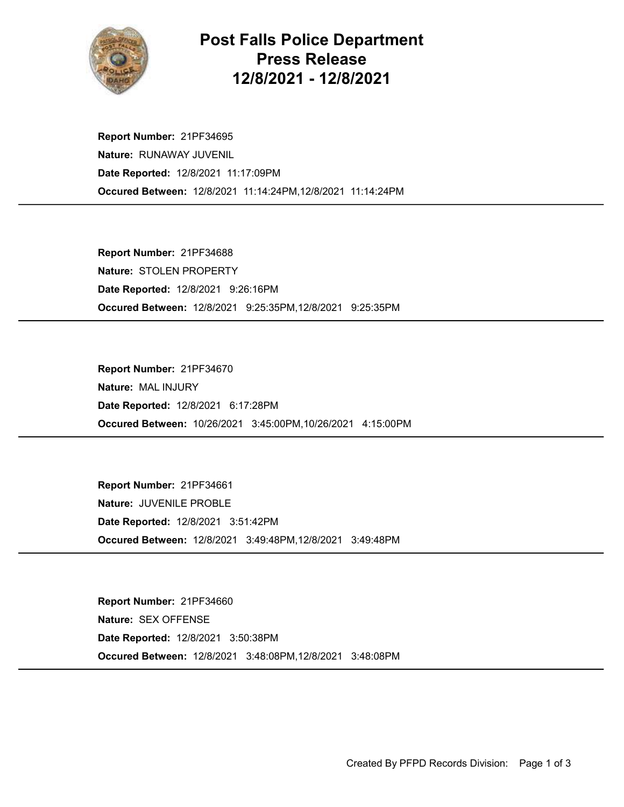

## Post Falls Police Department Press Release 12/8/2021 - 12/8/2021

Occured Between: 12/8/2021 11:14:24PM,12/8/2021 11:14:24PM Report Number: 21PF34695 Nature: RUNAWAY JUVENIL Date Reported: 12/8/2021 11:17:09PM

Occured Between: 12/8/2021 9:25:35PM,12/8/2021 9:25:35PM Report Number: 21PF34688 Nature: STOLEN PROPERTY Date Reported: 12/8/2021 9:26:16PM

Occured Between: 10/26/2021 3:45:00PM,10/26/2021 4:15:00PM Report Number: 21PF34670 Nature: MAL INJURY Date Reported: 12/8/2021 6:17:28PM

Occured Between: 12/8/2021 3:49:48PM,12/8/2021 3:49:48PM Report Number: 21PF34661 Nature: JUVENILE PROBLE Date Reported: 12/8/2021 3:51:42PM

Occured Between: 12/8/2021 3:48:08PM,12/8/2021 3:48:08PM Report Number: 21PF34660 Nature: SEX OFFENSE Date Reported: 12/8/2021 3:50:38PM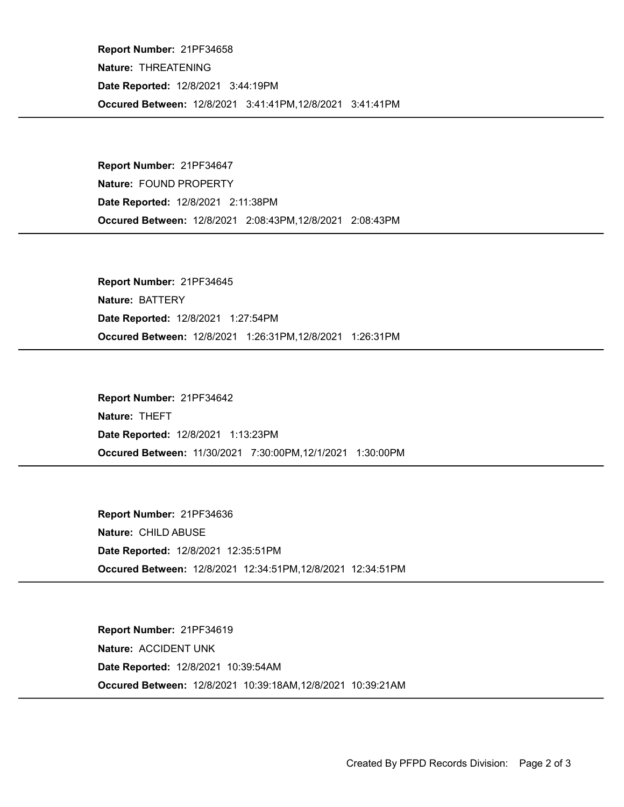Occured Between: 12/8/2021 3:41:41PM,12/8/2021 3:41:41PM Report Number: 21PF34658 Nature: THREATENING Date Reported: 12/8/2021 3:44:19PM

Occured Between: 12/8/2021 2:08:43PM,12/8/2021 2:08:43PM Report Number: 21PF34647 Nature: FOUND PROPERTY Date Reported: 12/8/2021 2:11:38PM

Occured Between: 12/8/2021 1:26:31PM,12/8/2021 1:26:31PM Report Number: 21PF34645 Nature: BATTERY Date Reported: 12/8/2021 1:27:54PM

Occured Between: 11/30/2021 7:30:00PM,12/1/2021 1:30:00PM Report Number: 21PF34642 Nature: THEFT Date Reported: 12/8/2021 1:13:23PM

Occured Between: 12/8/2021 12:34:51PM,12/8/2021 12:34:51PM Report Number: 21PF34636 Nature: CHILD ABUSE Date Reported: 12/8/2021 12:35:51PM

Occured Between: 12/8/2021 10:39:18AM,12/8/2021 10:39:21AM Report Number: 21PF34619 Nature: ACCIDENT UNK Date Reported: 12/8/2021 10:39:54AM